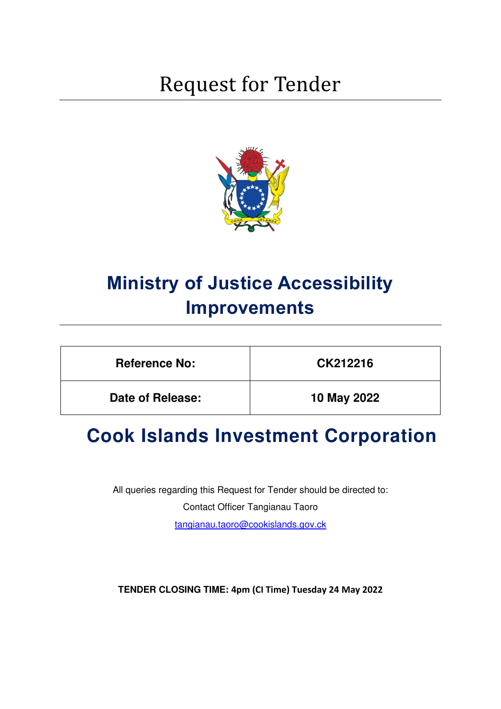# Request for Tender



# **Ministry of Justice Accessibility Improvements**

| <b>Reference No:</b> | CK212216    |
|----------------------|-------------|
| Date of Release:     | 10 May 2022 |

# **Cook Islands Investment Corporation**

All queries regarding this Request for Tender should be directed to: Contact Officer Tangianau Taoro

[tangianau.taoro@cookislands.gov.ck](mailto:sally.hosking-naea@cookislands.gov.ck)

**TENDER CLOSING TIME: 4pm (CI Time) Tuesday 24 May 2022**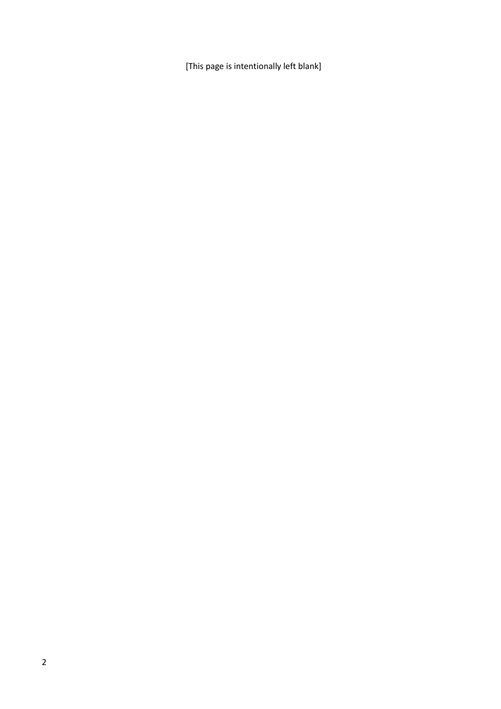[This page is intentionally left blank]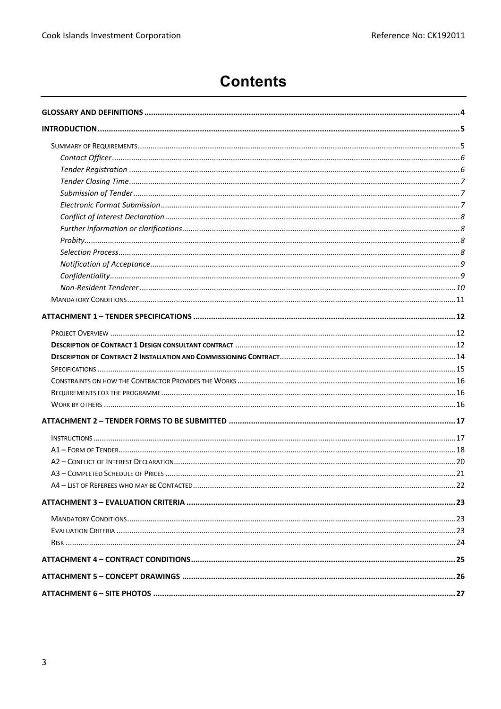# **Contents**

<span id="page-2-0"></span>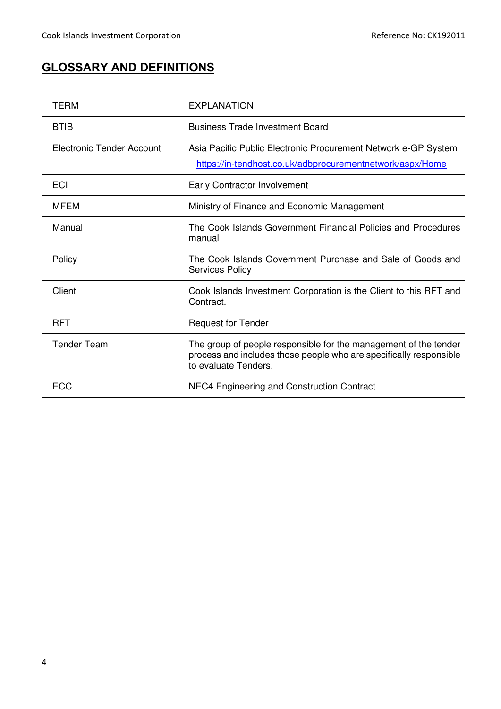# **GLOSSARY AND DEFINITIONS**

| <b>TERM</b>                      | <b>EXPLANATION</b>                                                                                                                                             |  |
|----------------------------------|----------------------------------------------------------------------------------------------------------------------------------------------------------------|--|
| <b>BTIB</b>                      | <b>Business Trade Investment Board</b>                                                                                                                         |  |
| <b>Electronic Tender Account</b> | Asia Pacific Public Electronic Procurement Network e-GP System<br>https://in-tendhost.co.uk/adbprocurementnetwork/aspx/Home                                    |  |
| ECI                              | <b>Early Contractor Involvement</b>                                                                                                                            |  |
| <b>MFEM</b>                      | Ministry of Finance and Economic Management                                                                                                                    |  |
| Manual                           | The Cook Islands Government Financial Policies and Procedures<br>manual                                                                                        |  |
| Policy                           | The Cook Islands Government Purchase and Sale of Goods and<br><b>Services Policy</b>                                                                           |  |
| Client                           | Cook Islands Investment Corporation is the Client to this RFT and<br>Contract.                                                                                 |  |
| <b>RFT</b>                       | <b>Request for Tender</b>                                                                                                                                      |  |
| <b>Tender Team</b>               | The group of people responsible for the management of the tender<br>process and includes those people who are specifically responsible<br>to evaluate Tenders. |  |
| <b>ECC</b>                       | NEC4 Engineering and Construction Contract                                                                                                                     |  |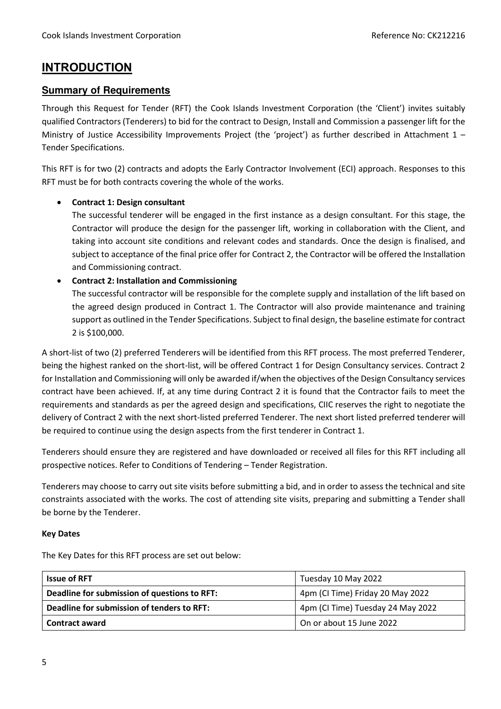# <span id="page-4-0"></span>**INTRODUCTION**

#### <span id="page-4-1"></span>**Summary of Requirements**

Through this Request for Tender (RFT) the Cook Islands Investment Corporation (the 'Client') invites suitably qualified Contractors (Tenderers) to bid for the contract to Design, Install and Commission a passenger lift for the Ministry of Justice Accessibility Improvements Project (the 'project') as further described in Attachment 1 – Tender Specifications.

This RFT is for two (2) contracts and adopts the Early Contractor Involvement (ECI) approach. Responses to this RFT must be for both contracts covering the whole of the works.

#### • **Contract 1: Design consultant**

The successful tenderer will be engaged in the first instance as a design consultant. For this stage, the Contractor will produce the design for the passenger lift, working in collaboration with the Client, and taking into account site conditions and relevant codes and standards. Once the design is finalised, and subject to acceptance of the final price offer for Contract 2, the Contractor will be offered the Installation and Commissioning contract.

#### • **Contract 2: Installation and Commissioning**

The successful contractor will be responsible for the complete supply and installation of the lift based on the agreed design produced in Contract 1. The Contractor will also provide maintenance and training support as outlined in the Tender Specifications. Subject to final design, the baseline estimate for contract 2 is \$100,000.

A short-list of two (2) preferred Tenderers will be identified from this RFT process. The most preferred Tenderer, being the highest ranked on the short-list, will be offered Contract 1 for Design Consultancy services. Contract 2 for Installation and Commissioning will only be awarded if/when the objectives of the Design Consultancy services contract have been achieved. If, at any time during Contract 2 it is found that the Contractor fails to meet the requirements and standards as per the agreed design and specifications, CIIC reserves the right to negotiate the delivery of Contract 2 with the next short-listed preferred Tenderer. The next short listed preferred tenderer will be required to continue using the design aspects from the first tenderer in Contract 1.

Tenderers should ensure they are registered and have downloaded or received all files for this RFT including all prospective notices. Refer to Conditions of Tendering – Tender Registration.

Tenderers may choose to carry out site visits before submitting a bid, and in order to assess the technical and site constraints associated with the works. The cost of attending site visits, preparing and submitting a Tender shall be borne by the Tenderer.

#### **Key Dates**

The Key Dates for this RFT process are set out below:

| <b>Issue of RFT</b>                          | Tuesday 10 May 2022               |  |
|----------------------------------------------|-----------------------------------|--|
| Deadline for submission of questions to RFT: | 4pm (CI Time) Friday 20 May 2022  |  |
| Deadline for submission of tenders to RFT:   | 4pm (CI Time) Tuesday 24 May 2022 |  |
| <b>Contract award</b>                        | On or about 15 June 2022          |  |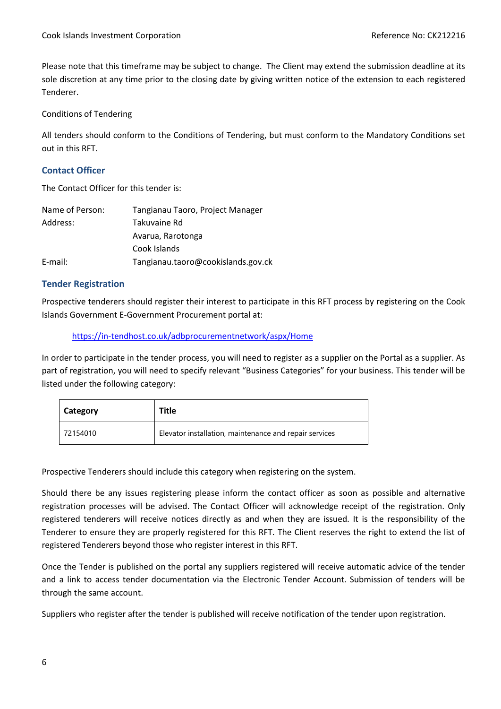Please note that this timeframe may be subject to change. The Client may extend the submission deadline at its sole discretion at any time prior to the closing date by giving written notice of the extension to each registered Tenderer.

Conditions of Tendering

All tenders should conform to the Conditions of Tendering, but must conform to the Mandatory Conditions set out in this RFT.

#### <span id="page-5-0"></span>**Contact Officer**

The Contact Officer for this tender is:

| Name of Person: | Tangianau Taoro, Project Manager   |  |
|-----------------|------------------------------------|--|
| Address:        | Takuvaine Rd                       |  |
|                 | Avarua, Rarotonga                  |  |
|                 | Cook Islands                       |  |
| E-mail:         | Tangianau.taoro@cookislands.gov.ck |  |

#### <span id="page-5-1"></span>**Tender Registration**

Prospective tenderers should register their interest to participate in this RFT process by registering on the Cook Islands Government E-Government Procurement portal at:

#### <https://in-tendhost.co.uk/adbprocurementnetwork/aspx/Home>

In order to participate in the tender process, you will need to register as a supplier on the Portal as a supplier. As part of registration, you will need to specify relevant "Business Categories" for your business. This tender will be listed under the following category:

| Category | Title                                                  |
|----------|--------------------------------------------------------|
| 72154010 | Elevator installation, maintenance and repair services |

Prospective Tenderers should include this category when registering on the system.

Should there be any issues registering please inform the contact officer as soon as possible and alternative registration processes will be advised. The Contact Officer will acknowledge receipt of the registration. Only registered tenderers will receive notices directly as and when they are issued. It is the responsibility of the Tenderer to ensure they are properly registered for this RFT. The Client reserves the right to extend the list of registered Tenderers beyond those who register interest in this RFT.

Once the Tender is published on the portal any suppliers registered will receive automatic advice of the tender and a link to access tender documentation via the Electronic Tender Account. Submission of tenders will be through the same account.

Suppliers who register after the tender is published will receive notification of the tender upon registration.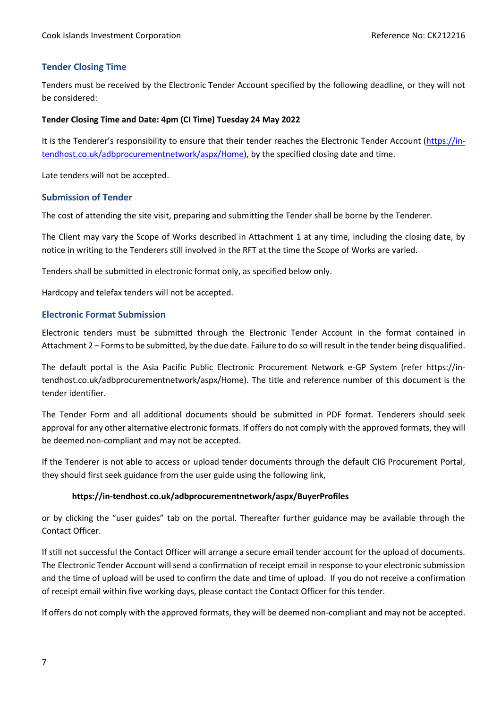#### <span id="page-6-0"></span>**Tender Closing Time**

Tenders must be received by the Electronic Tender Account specified by the following deadline, or they will not be considered:

#### **Tender Closing Time and Date: 4pm (CI Time) Tuesday 24 May 2022**

It is the Tenderer's responsibility to ensure that their tender reaches the Electronic Tender Account [\(https://in](https://in-tendhost.co.uk/adbprocurementnetwork/aspx/Home)[tendhost.co.uk/adbprocurementnetwork/aspx/Home\)](https://in-tendhost.co.uk/adbprocurementnetwork/aspx/Home), by the specified closing date and time.

Late tenders will not be accepted.

#### <span id="page-6-1"></span>**Submission of Tender**

The cost of attending the site visit, preparing and submitting the Tender shall be borne by the Tenderer.

The Client may vary the Scope of Works described in Attachment 1 at any time, including the closing date, by notice in writing to the Tenderers still involved in the RFT at the time the Scope of Works are varied.

Tenders shall be submitted in electronic format only, as specified below only.

Hardcopy and telefax tenders will not be accepted.

#### <span id="page-6-2"></span>**Electronic Format Submission**

Electronic tenders must be submitted through the Electronic Tender Account in the format contained in Attachment 2 – Forms to be submitted, by the due date. Failure to do so will result in the tender being disqualified.

The default portal is the Asia Pacific Public Electronic Procurement Network e-GP System (refer [https://in](https://in-tendhost.co.uk/adbprocurementnetwork/aspx/Home)[tendhost.co.uk/adbprocurementnetwork/aspx/Home\)](https://in-tendhost.co.uk/adbprocurementnetwork/aspx/Home). The title and reference number of this document is the tender identifier.

The Tender Form and all additional documents should be submitted in PDF format. Tenderers should seek approval for any other alternative electronic formats. If offers do not comply with the approved formats, they will be deemed non-compliant and may not be accepted.

If the Tenderer is not able to access or upload tender documents through the default CIG Procurement Portal, they should first seek guidance from the user guide using the following link,

#### **<https://in-tendhost.co.uk/adbprocurementnetwork/aspx/BuyerProfiles>**

or by clicking the "user guides" tab on the portal. Thereafter further guidance may be available through the Contact Officer.

If still not successful the Contact Officer will arrange a secure email tender account for the upload of documents. The Electronic Tender Account will send a confirmation of receipt email in response to your electronic submission and the time of upload will be used to confirm the date and time of upload. If you do not receive a confirmation of receipt email within five working days, please contact the Contact Officer for this tender.

If offers do not comply with the approved formats, they will be deemed non-compliant and may not be accepted.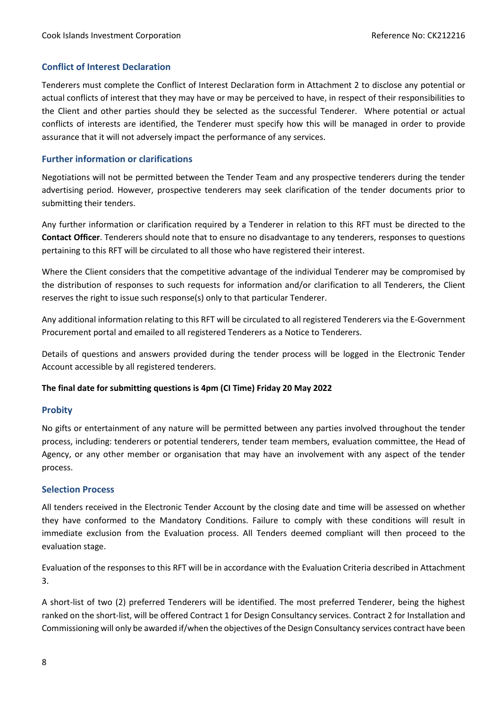#### <span id="page-7-0"></span>**Conflict of Interest Declaration**

Tenderers must complete the Conflict of Interest Declaration form in Attachment 2 to disclose any potential or actual conflicts of interest that they may have or may be perceived to have, in respect of their responsibilities to the Client and other parties should they be selected as the successful Tenderer. Where potential or actual conflicts of interests are identified, the Tenderer must specify how this will be managed in order to provide assurance that it will not adversely impact the performance of any services.

#### <span id="page-7-1"></span>**Further information or clarifications**

Negotiations will not be permitted between the Tender Team and any prospective tenderers during the tender advertising period. However, prospective tenderers may seek clarification of the tender documents prior to submitting their tenders.

Any further information or clarification required by a Tenderer in relation to this RFT must be directed to the **Contact Officer**. Tenderers should note that to ensure no disadvantage to any tenderers, responses to questions pertaining to this RFT will be circulated to all those who have registered their interest.

Where the Client considers that the competitive advantage of the individual Tenderer may be compromised by the distribution of responses to such requests for information and/or clarification to all Tenderers, the Client reserves the right to issue such response(s) only to that particular Tenderer.

Any additional information relating to this RFT will be circulated to all registered Tenderers via the E-Government Procurement portal and emailed to all registered Tenderers as a Notice to Tenderers.

Details of questions and answers provided during the tender process will be logged in the Electronic Tender Account accessible by all registered tenderers.

#### **The final date for submitting questions is 4pm (CI Time) Friday 20 May 2022**

#### <span id="page-7-2"></span>**Probity**

No gifts or entertainment of any nature will be permitted between any parties involved throughout the tender process, including: tenderers or potential tenderers, tender team members, evaluation committee, the Head of Agency, or any other member or organisation that may have an involvement with any aspect of the tender process.

#### <span id="page-7-3"></span>**Selection Process**

All tenders received in the Electronic Tender Account by the closing date and time will be assessed on whether they have conformed to the Mandatory Conditions. Failure to comply with these conditions will result in immediate exclusion from the Evaluation process. All Tenders deemed compliant will then proceed to the evaluation stage.

Evaluation of the responses to this RFT will be in accordance with the Evaluation Criteria described in Attachment 3.

A short-list of two (2) preferred Tenderers will be identified. The most preferred Tenderer, being the highest ranked on the short-list, will be offered Contract 1 for Design Consultancy services. Contract 2 for Installation and Commissioning will only be awarded if/when the objectives of the Design Consultancy services contract have been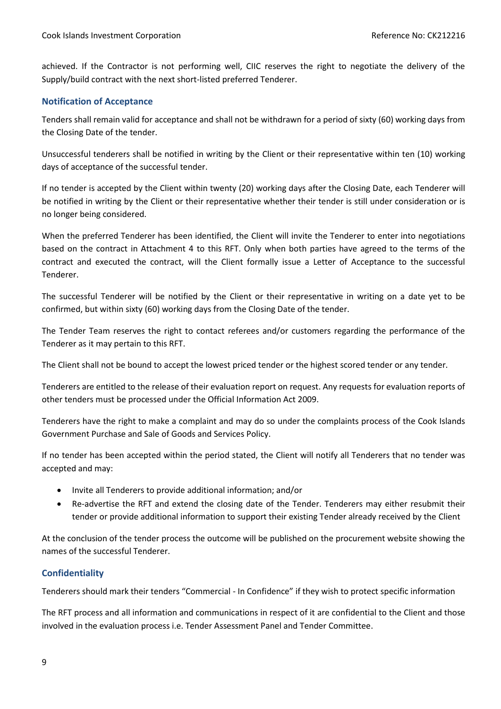achieved. If the Contractor is not performing well, CIIC reserves the right to negotiate the delivery of the Supply/build contract with the next short-listed preferred Tenderer.

#### <span id="page-8-0"></span>**Notification of Acceptance**

Tenders shall remain valid for acceptance and shall not be withdrawn for a period of sixty (60) working days from the Closing Date of the tender.

Unsuccessful tenderers shall be notified in writing by the Client or their representative within ten (10) working days of acceptance of the successful tender.

If no tender is accepted by the Client within twenty (20) working days after the Closing Date, each Tenderer will be notified in writing by the Client or their representative whether their tender is still under consideration or is no longer being considered.

When the preferred Tenderer has been identified, the Client will invite the Tenderer to enter into negotiations based on the contract in Attachment 4 to this RFT. Only when both parties have agreed to the terms of the contract and executed the contract, will the Client formally issue a Letter of Acceptance to the successful Tenderer.

The successful Tenderer will be notified by the Client or their representative in writing on a date yet to be confirmed, but within sixty (60) working days from the Closing Date of the tender.

The Tender Team reserves the right to contact referees and/or customers regarding the performance of the Tenderer as it may pertain to this RFT.

The Client shall not be bound to accept the lowest priced tender or the highest scored tender or any tender.

Tenderers are entitled to the release of their evaluation report on request. Any requests for evaluation reports of other tenders must be processed under the Official Information Act 2009.

Tenderers have the right to make a complaint and may do so under the complaints process of the Cook Islands Government Purchase and Sale of Goods and Services Policy.

If no tender has been accepted within the period stated, the Client will notify all Tenderers that no tender was accepted and may:

- Invite all Tenderers to provide additional information; and/or
- Re-advertise the RFT and extend the closing date of the Tender. Tenderers may either resubmit their tender or provide additional information to support their existing Tender already received by the Client

At the conclusion of the tender process the outcome will be published on the procurement website showing the names of the successful Tenderer.

#### <span id="page-8-1"></span>**Confidentiality**

Tenderers should mark their tenders "Commercial - In Confidence" if they wish to protect specific information

The RFT process and all information and communications in respect of it are confidential to the Client and those involved in the evaluation process i.e. Tender Assessment Panel and Tender Committee.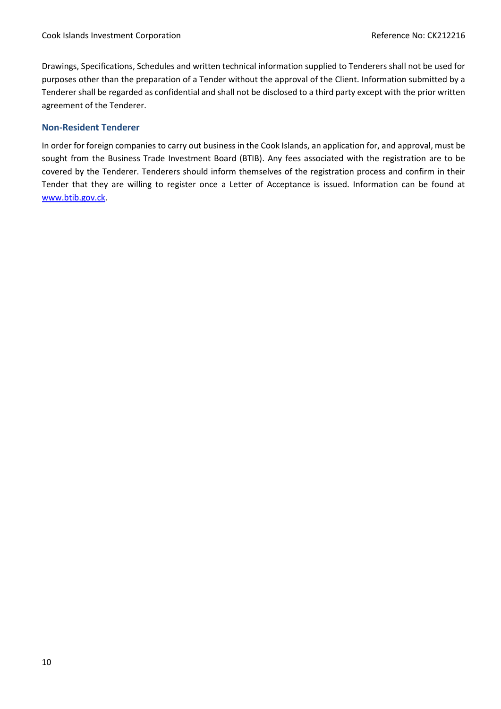Drawings, Specifications, Schedules and written technical information supplied to Tenderers shall not be used for purposes other than the preparation of a Tender without the approval of the Client. Information submitted by a Tenderer shall be regarded as confidential and shall not be disclosed to a third party except with the prior written agreement of the Tenderer.

#### <span id="page-9-0"></span>**Non-Resident Tenderer**

In order for foreign companies to carry out business in the Cook Islands, an application for, and approval, must be sought from the Business Trade Investment Board (BTIB). Any fees associated with the registration are to be covered by the Tenderer. Tenderers should inform themselves of the registration process and confirm in their Tender that they are willing to register once a Letter of Acceptance is issued. Information can be found at [www.btib.gov.ck.](http://www.btib.gov.ck/)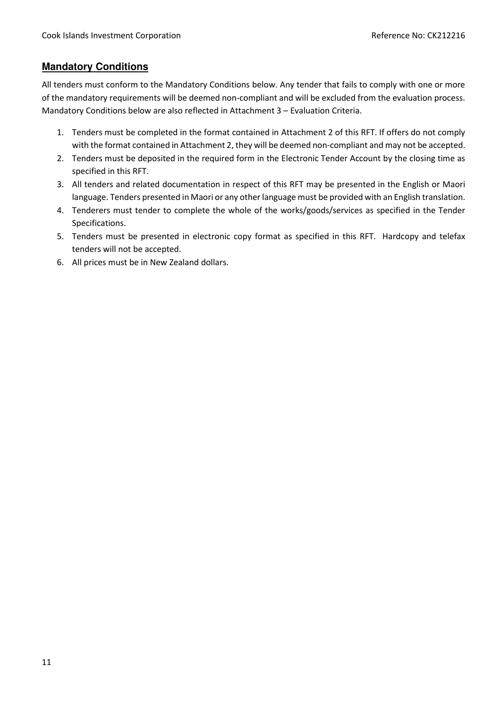## <span id="page-10-0"></span>**Mandatory Conditions**

All tenders must conform to the Mandatory Conditions below. Any tender that fails to comply with one or more of the mandatory requirements will be deemed non-compliant and will be excluded from the evaluation process. Mandatory Conditions below are also reflected in Attachment 3 – Evaluation Criteria.

- 1. Tenders must be completed in the format contained in Attachment 2 of this RFT. If offers do not comply with the format contained in Attachment 2, they will be deemed non-compliant and may not be accepted.
- 2. Tenders must be deposited in the required form in the Electronic Tender Account by the closing time as specified in this RFT.
- 3. All tenders and related documentation in respect of this RFT may be presented in the English or Maori language. Tenders presented in Maori or any other language must be provided with an English translation.
- 4. Tenderers must tender to complete the whole of the works/goods/services as specified in the Tender Specifications.
- 5. Tenders must be presented in electronic copy format as specified in this RFT. Hardcopy and telefax tenders will not be accepted.
- 6. All prices must be in New Zealand dollars.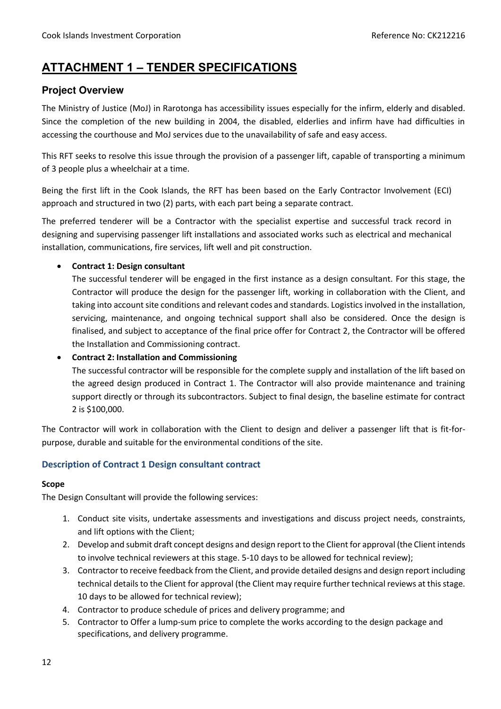# <span id="page-11-0"></span>**ATTACHMENT 1 – TENDER SPECIFICATIONS**

## <span id="page-11-1"></span>**Project Overview**

The Ministry of Justice (MoJ) in Rarotonga has accessibility issues especially for the infirm, elderly and disabled. Since the completion of the new building in 2004, the disabled, elderlies and infirm have had difficulties in accessing the courthouse and MoJ services due to the unavailability of safe and easy access.

This RFT seeks to resolve this issue through the provision of a passenger lift, capable of transporting a minimum of 3 people plus a wheelchair at a time.

Being the first lift in the Cook Islands, the RFT has been based on the Early Contractor Involvement (ECI) approach and structured in two (2) parts, with each part being a separate contract.

The preferred tenderer will be a Contractor with the specialist expertise and successful track record in designing and supervising passenger lift installations and associated works such as electrical and mechanical installation, communications, fire services, lift well and pit construction.

#### • **Contract 1: Design consultant**

The successful tenderer will be engaged in the first instance as a design consultant. For this stage, the Contractor will produce the design for the passenger lift, working in collaboration with the Client, and taking into account site conditions and relevant codes and standards. Logistics involved in the installation, servicing, maintenance, and ongoing technical support shall also be considered. Once the design is finalised, and subject to acceptance of the final price offer for Contract 2, the Contractor will be offered the Installation and Commissioning contract.

#### • **Contract 2: Installation and Commissioning**

The successful contractor will be responsible for the complete supply and installation of the lift based on the agreed design produced in Contract 1. The Contractor will also provide maintenance and training support directly or through its subcontractors. Subject to final design, the baseline estimate for contract 2 is \$100,000.

The Contractor will work in collaboration with the Client to design and deliver a passenger lift that is fit-forpurpose, durable and suitable for the environmental conditions of the site.

#### <span id="page-11-2"></span>**Description of Contract 1 Design consultant contract**

#### **Scope**

The Design Consultant will provide the following services:

- 1. Conduct site visits, undertake assessments and investigations and discuss project needs, constraints, and lift options with the Client;
- 2. Develop and submit draft concept designs and design report to the Client for approval (the Client intends to involve technical reviewers at this stage. 5-10 days to be allowed for technical review);
- 3. Contractor to receive feedback from the Client, and provide detailed designs and design report including technical details to the Client for approval (the Client may require further technical reviews at this stage. 10 days to be allowed for technical review);
- 4. Contractor to produce schedule of prices and delivery programme; and
- 5. Contractor to Offer a lump-sum price to complete the works according to the design package and specifications, and delivery programme.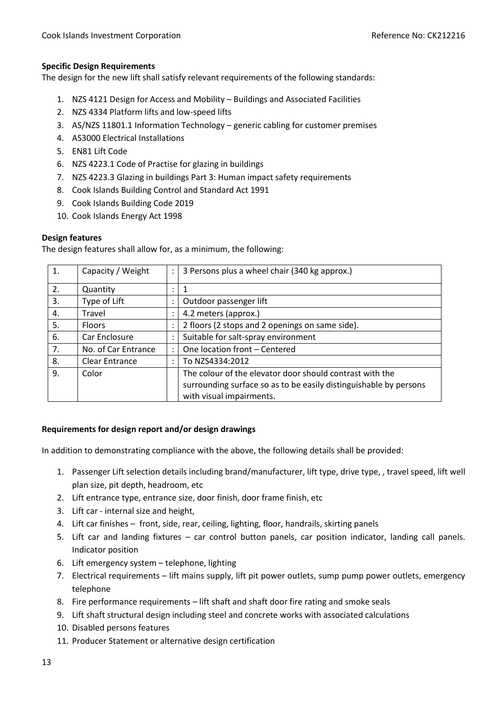#### **Specific Design Requirements**

The design for the new lift shall satisfy relevant requirements of the following standards:

- 1. NZS 4121 Design for Access and Mobility Buildings and Associated Facilities
- 2. NZS 4334 Platform lifts and low-speed lifts
- 3. AS/NZS 11801.1 Information Technology generic cabling for customer premises
- 4. AS3000 Electrical Installations
- 5. EN81 Lift Code
- 6. NZS 4223.1 Code of Practise for glazing in buildings
- 7. NZS 4223.3 Glazing in buildings Part 3: Human impact safety requirements
- 8. Cook Islands Building Control and Standard Act 1991
- 9. Cook Islands Building Code 2019
- 10. Cook Islands Energy Act 1998

#### **Design features**

The design features shall allow for, as a minimum, the following:

| 1. | Capacity / Weight     | $\ddot{\phantom{0}}$ | 3 Persons plus a wheel chair (340 kg approx.)                                                                                                             |  |
|----|-----------------------|----------------------|-----------------------------------------------------------------------------------------------------------------------------------------------------------|--|
| 2. | Quantity              |                      | 1                                                                                                                                                         |  |
| 3. | Type of Lift          |                      | Outdoor passenger lift                                                                                                                                    |  |
| 4. | Travel                |                      | 4.2 meters (approx.)                                                                                                                                      |  |
| 5. | <b>Floors</b>         |                      | 2 floors (2 stops and 2 openings on same side).                                                                                                           |  |
| 6. | Car Enclosure         |                      | Suitable for salt-spray environment                                                                                                                       |  |
| 7. | No. of Car Entrance   |                      | One location front - Centered                                                                                                                             |  |
| 8. | <b>Clear Entrance</b> |                      | To NZS4334:2012                                                                                                                                           |  |
| 9. | Color                 |                      | The colour of the elevator door should contrast with the<br>surrounding surface so as to be easily distinguishable by persons<br>with visual impairments. |  |

#### **Requirements for design report and/or design drawings**

In addition to demonstrating compliance with the above, the following details shall be provided:

- 1. Passenger Lift selection details including brand/manufacturer, lift type, drive type, , travel speed, lift well plan size, pit depth, headroom, etc
- 2. Lift entrance type, entrance size, door finish, door frame finish, etc
- 3. Lift car internal size and height,
- 4. Lift car finishes front, side, rear, ceiling, lighting, floor, handrails, skirting panels
- 5. Lift car and landing fixtures car control button panels, car position indicator, landing call panels. Indicator position
- 6. Lift emergency system telephone, lighting
- 7. Electrical requirements lift mains supply, lift pit power outlets, sump pump power outlets, emergency telephone
- 8. Fire performance requirements lift shaft and shaft door fire rating and smoke seals
- 9. Lift shaft structural design including steel and concrete works with associated calculations
- 10. Disabled persons features
- 11. Producer Statement or alternative design certification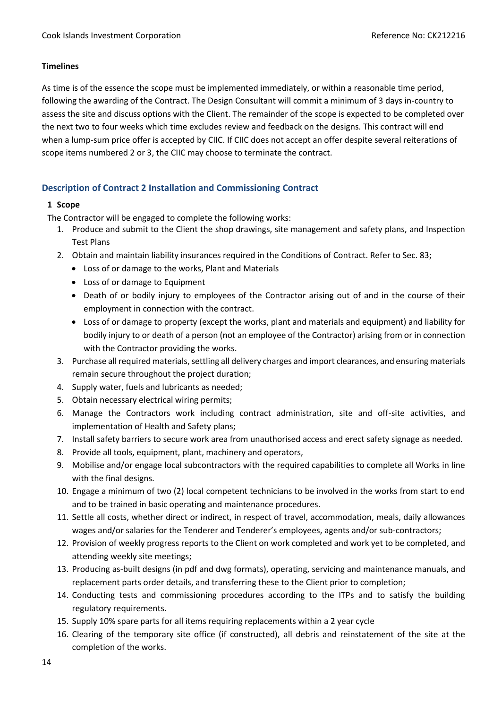#### **Timelines**

As time is of the essence the scope must be implemented immediately, or within a reasonable time period, following the awarding of the Contract. The Design Consultant will commit a minimum of 3 days in-country to assess the site and discuss options with the Client. The remainder of the scope is expected to be completed over the next two to four weeks which time excludes review and feedback on the designs. This contract will end when a lump-sum price offer is accepted by CIIC. If CIIC does not accept an offer despite several reiterations of scope items numbered 2 or 3, the CIIC may choose to terminate the contract.

#### <span id="page-13-0"></span>**Description of Contract 2 Installation and Commissioning Contract**

#### **1 Scope**

The Contractor will be engaged to complete the following works:

- 1. Produce and submit to the Client the shop drawings, site management and safety plans, and Inspection Test Plans
- 2. Obtain and maintain liability insurances required in the Conditions of Contract. Refer to Sec. 83;
	- Loss of or damage to the works, Plant and Materials
	- Loss of or damage to Equipment
	- Death of or bodily injury to employees of the Contractor arising out of and in the course of their employment in connection with the contract.
	- Loss of or damage to property (except the works, plant and materials and equipment) and liability for bodily injury to or death of a person (not an employee of the Contractor) arising from or in connection with the Contractor providing the works.
- 3. Purchase all required materials, settling all delivery charges and import clearances, and ensuring materials remain secure throughout the project duration;
- 4. Supply water, fuels and lubricants as needed;
- 5. Obtain necessary electrical wiring permits;
- 6. Manage the Contractors work including contract administration, site and off-site activities, and implementation of Health and Safety plans;
- 7. Install safety barriers to secure work area from unauthorised access and erect safety signage as needed.
- 8. Provide all tools, equipment, plant, machinery and operators,
- 9. Mobilise and/or engage local subcontractors with the required capabilities to complete all Works in line with the final designs.
- 10. Engage a minimum of two (2) local competent technicians to be involved in the works from start to end and to be trained in basic operating and maintenance procedures.
- 11. Settle all costs, whether direct or indirect, in respect of travel, accommodation, meals, daily allowances wages and/or salaries for the Tenderer and Tenderer's employees, agents and/or sub-contractors;
- 12. Provision of weekly progress reports to the Client on work completed and work yet to be completed, and attending weekly site meetings;
- 13. Producing as-built designs (in pdf and dwg formats), operating, servicing and maintenance manuals, and replacement parts order details, and transferring these to the Client prior to completion;
- 14. Conducting tests and commissioning procedures according to the ITPs and to satisfy the building regulatory requirements.
- 15. Supply 10% spare parts for all items requiring replacements within a 2 year cycle
- 16. Clearing of the temporary site office (if constructed), all debris and reinstatement of the site at the completion of the works.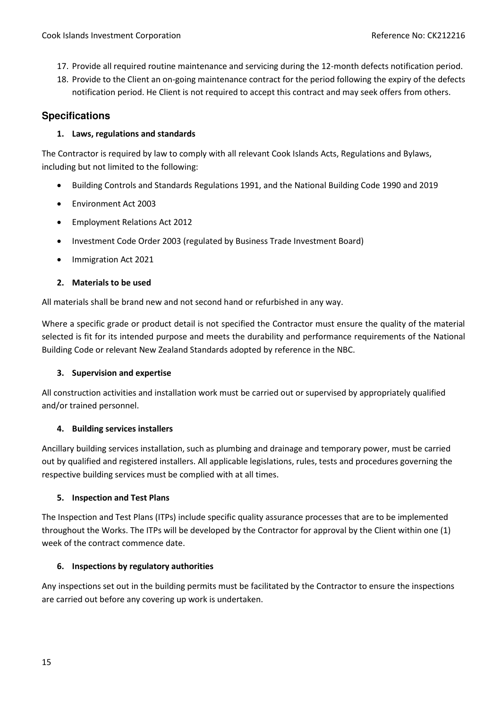- 17. Provide all required routine maintenance and servicing during the 12-month defects notification period.
- 18. Provide to the Client an on-going maintenance contract for the period following the expiry of the defects notification period. He Client is not required to accept this contract and may seek offers from others.

### <span id="page-14-0"></span>**Specifications**

#### **1. Laws, regulations and standards**

The Contractor is required by law to comply with all relevant Cook Islands Acts, Regulations and Bylaws, including but not limited to the following:

- Building Controls and Standards Regulations 1991, and the National Building Code 1990 and 2019
- Environment Act 2003
- Employment Relations Act 2012
- Investment Code Order 2003 (regulated by Business Trade Investment Board)
- Immigration Act 2021

#### **2. Materials to be used**

All materials shall be brand new and not second hand or refurbished in any way.

Where a specific grade or product detail is not specified the Contractor must ensure the quality of the material selected is fit for its intended purpose and meets the durability and performance requirements of the National Building Code or relevant New Zealand Standards adopted by reference in the NBC.

#### **3. Supervision and expertise**

All construction activities and installation work must be carried out or supervised by appropriately qualified and/or trained personnel.

#### **4. Building services installers**

Ancillary building services installation, such as plumbing and drainage and temporary power, must be carried out by qualified and registered installers. All applicable legislations, rules, tests and procedures governing the respective building services must be complied with at all times.

#### **5. Inspection and Test Plans**

The Inspection and Test Plans (ITPs) include specific quality assurance processes that are to be implemented throughout the Works. The ITPs will be developed by the Contractor for approval by the Client within one (1) week of the contract commence date.

#### **6. Inspections by regulatory authorities**

Any inspections set out in the building permits must be facilitated by the Contractor to ensure the inspections are carried out before any covering up work is undertaken.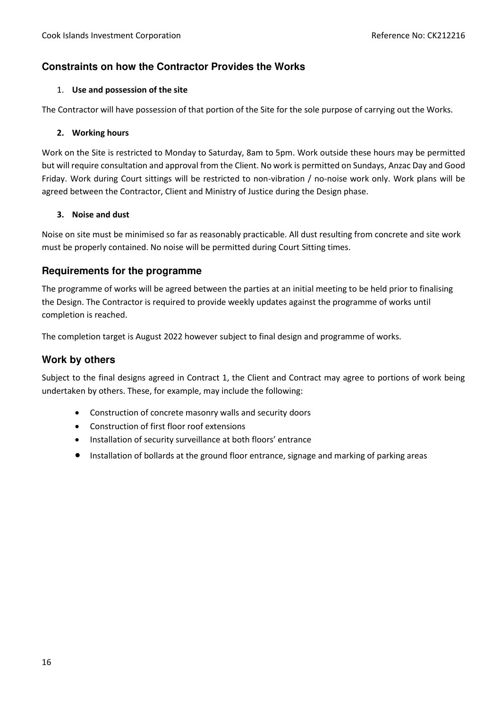## <span id="page-15-0"></span>**Constraints on how the Contractor Provides the Works**

#### 1. **Use and possession of the site**

The Contractor will have possession of that portion of the Site for the sole purpose of carrying out the Works.

#### **2. Working hours**

Work on the Site is restricted to Monday to Saturday, 8am to 5pm. Work outside these hours may be permitted but will require consultation and approval from the Client. No work is permitted on Sundays, Anzac Day and Good Friday. Work during Court sittings will be restricted to non-vibration / no-noise work only. Work plans will be agreed between the Contractor, Client and Ministry of Justice during the Design phase.

#### **3. Noise and dust**

Noise on site must be minimised so far as reasonably practicable. All dust resulting from concrete and site work must be properly contained. No noise will be permitted during Court Sitting times.

## <span id="page-15-1"></span>**Requirements for the programme**

The programme of works will be agreed between the parties at an initial meeting to be held prior to finalising the Design. The Contractor is required to provide weekly updates against the programme of works until completion is reached.

The completion target is August 2022 however subject to final design and programme of works.

## <span id="page-15-2"></span>**Work by others**

Subject to the final designs agreed in Contract 1, the Client and Contract may agree to portions of work being undertaken by others. These, for example, may include the following:

- Construction of concrete masonry walls and security doors
- Construction of first floor roof extensions
- Installation of security surveillance at both floors' entrance
- Installation of bollards at the ground floor entrance, signage and marking of parking areas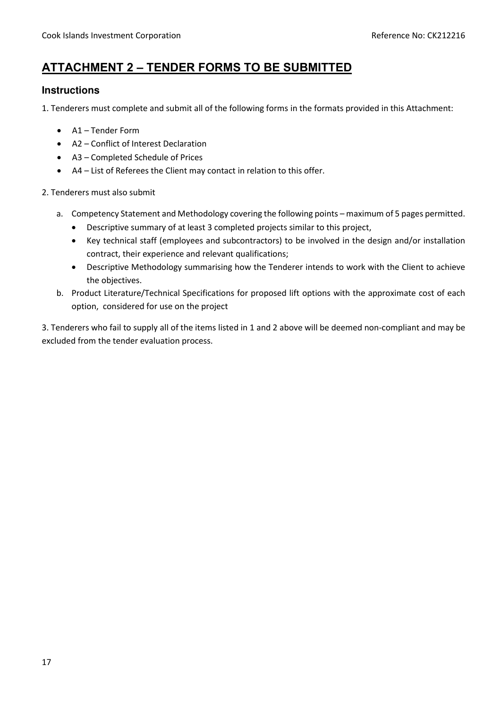# <span id="page-16-0"></span>**ATTACHMENT 2 – TENDER FORMS TO BE SUBMITTED**

### <span id="page-16-1"></span>**Instructions**

1. Tenderers must complete and submit all of the following forms in the formats provided in this Attachment:

- A1 Tender Form
- A2 Conflict of Interest Declaration
- A3 Completed Schedule of Prices
- A4 List of Referees the Client may contact in relation to this offer.
- 2. Tenderers must also submit
	- a. Competency Statement and Methodology covering the following points maximum of 5 pages permitted.
		- Descriptive summary of at least 3 completed projects similar to this project,
		- Key technical staff (employees and subcontractors) to be involved in the design and/or installation contract, their experience and relevant qualifications;
		- Descriptive Methodology summarising how the Tenderer intends to work with the Client to achieve the objectives.
	- b. Product Literature/Technical Specifications for proposed lift options with the approximate cost of each option, considered for use on the project

3. Tenderers who fail to supply all of the items listed in 1 and 2 above will be deemed non-compliant and may be excluded from the tender evaluation process.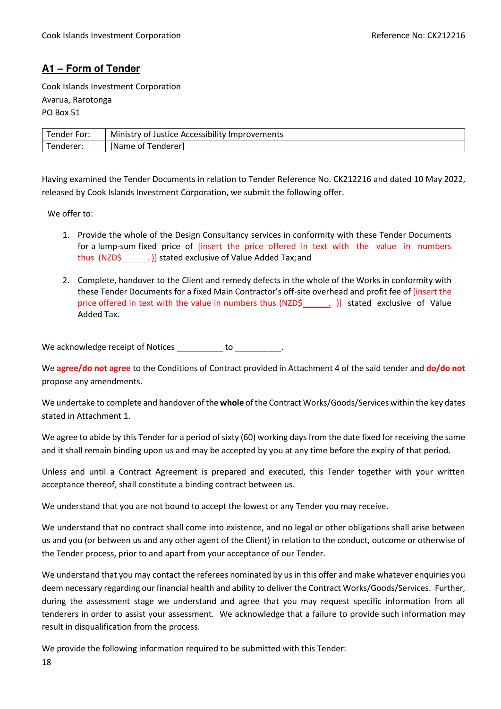## <span id="page-17-0"></span>**A1 – Form of Tender**

Cook Islands Investment Corporation Avarua, Rarotonga PO Box 51

| ⊩or:<br>lender. | $\cdots$<br>Ministry of<br><sup>.</sup> Justice Accessibility<br>: Improvements |
|-----------------|---------------------------------------------------------------------------------|
| enderer:        | <b>Name of</b><br><b>Tenderer</b>                                               |

Having examined the Tender Documents in relation to Tender Reference No. CK212216 and dated 10 May 2022, released by Cook Islands Investment Corporation, we submit the following offer.

We offer to:

- 1. Provide the whole of the Design Consultancy services in conformity with these Tender Documents for a lump-sum fixed price of [insert the price offered in text with the value in numbers thus (NZD\$ . )] stated exclusive of Value Added Tax; and
- 2. Complete, handover to the Client and remedy defects in the whole of the Works in conformity with these Tender Documents for a fixed Main Contractor's off-site overhead and profit fee of [insert the price offered in text with the value in numbers thus (NZD\$ . )] stated exclusive of Value Added Tax.

We acknowledge receipt of Notices \_\_\_\_\_\_\_\_\_\_ to \_\_\_\_\_\_\_\_\_.

We **agree/do not agree** to the Conditions of Contract provided in Attachment 4 of the said tender and **do/do not**  propose any amendments.

We undertake to complete and handover of the **whole** of the Contract Works/Goods/Services within the key dates stated in Attachment 1.

We agree to abide by this Tender for a period of sixty (60) working days from the date fixed for receiving the same and it shall remain binding upon us and may be accepted by you at any time before the expiry of that period.

Unless and until a Contract Agreement is prepared and executed, this Tender together with your written acceptance thereof, shall constitute a binding contract between us.

We understand that you are not bound to accept the lowest or any Tender you may receive.

We understand that no contract shall come into existence, and no legal or other obligations shall arise between us and you (or between us and any other agent of the Client) in relation to the conduct, outcome or otherwise of the Tender process, prior to and apart from your acceptance of our Tender.

We understand that you may contact the referees nominated by us in this offer and make whatever enquiries you deem necessary regarding our financial health and ability to deliver the Contract Works/Goods/Services. Further, during the assessment stage we understand and agree that you may request specific information from all tenderers in order to assist your assessment. We acknowledge that a failure to provide such information may result in disqualification from the process.

We provide the following information required to be submitted with this Tender: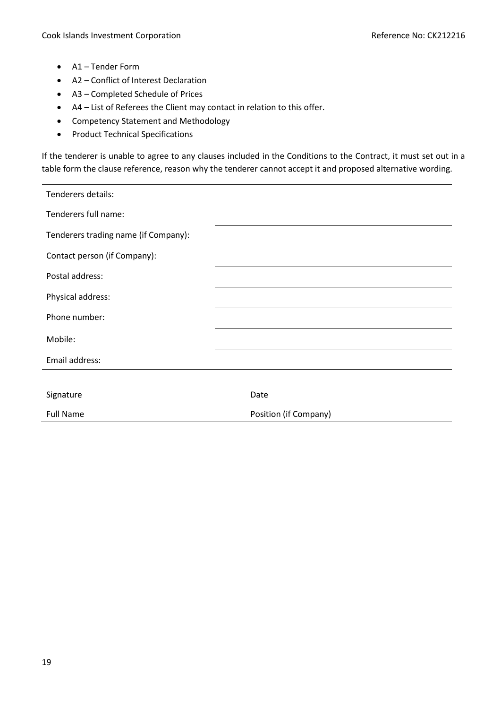- A1 Tender Form
- A2 Conflict of Interest Declaration
- A3 Completed Schedule of Prices
- A4 List of Referees the Client may contact in relation to this offer.
- Competency Statement and Methodology
- Product Technical Specifications

If the tenderer is unable to agree to any clauses included in the Conditions to the Contract, it must set out in a table form the clause reference, reason why the tenderer cannot accept it and proposed alternative wording.

| Tenderers details:                   |                       |
|--------------------------------------|-----------------------|
| Tenderers full name:                 |                       |
| Tenderers trading name (if Company): |                       |
| Contact person (if Company):         |                       |
| Postal address:                      |                       |
| Physical address:                    |                       |
| Phone number:                        |                       |
| Mobile:                              |                       |
| Email address:                       |                       |
|                                      |                       |
| Signature                            | Date                  |
| <b>Full Name</b>                     | Position (if Company) |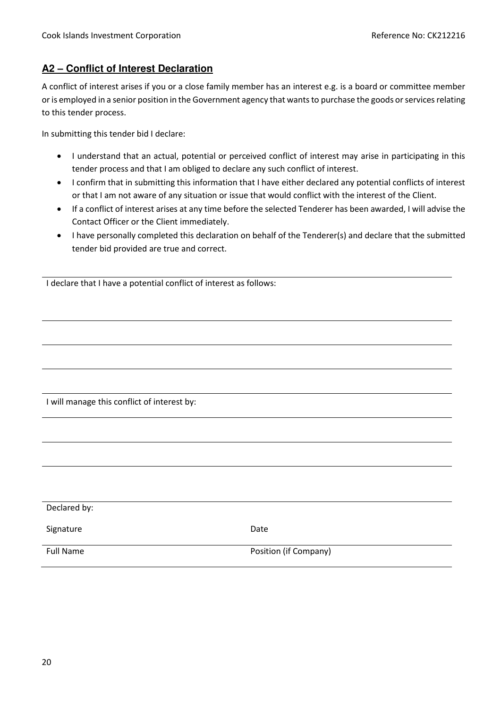#### <span id="page-19-0"></span>**A2 – Conflict of Interest Declaration**

A conflict of interest arises if you or a close family member has an interest e.g. is a board or committee member or is employed in a senior position in the Government agency that wants to purchase the goods or services relating to this tender process.

In submitting this tender bid I declare:

- I understand that an actual, potential or perceived conflict of interest may arise in participating in this tender process and that I am obliged to declare any such conflict of interest.
- I confirm that in submitting this information that I have either declared any potential conflicts of interest or that I am not aware of any situation or issue that would conflict with the interest of the Client.
- If a conflict of interest arises at any time before the selected Tenderer has been awarded, I will advise the Contact Officer or the Client immediately.
- I have personally completed this declaration on behalf of the Tenderer(s) and declare that the submitted tender bid provided are true and correct.

I declare that I have a potential conflict of interest as follows:

I will manage this conflict of interest by:

Declared by: Signature Date Full Name **Position (if Company)**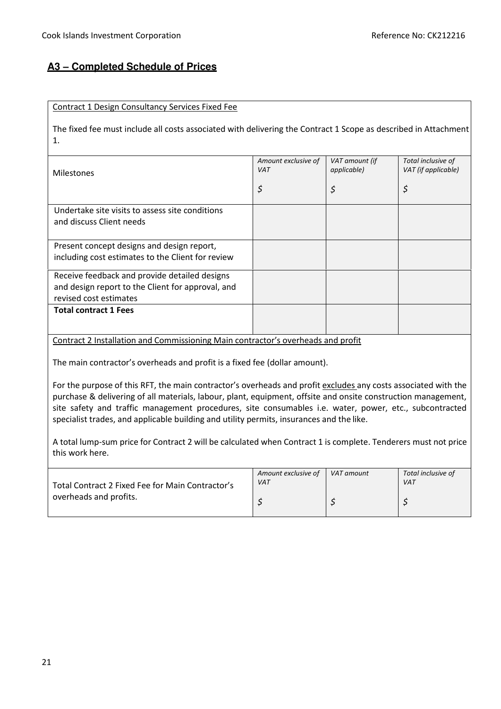## <span id="page-20-0"></span>**A3 – Completed Schedule of Prices**

#### Contract 1 Design Consultancy Services Fixed Fee

The fixed fee must include all costs associated with delivering the Contract 1 Scope as described in Attachment 1.

| <b>Milestones</b>                                                                                                            | Amount exclusive of<br><b>VAT</b> | VAT amount (if<br>applicable) | Total inclusive of<br>VAT (if applicable) |
|------------------------------------------------------------------------------------------------------------------------------|-----------------------------------|-------------------------------|-------------------------------------------|
|                                                                                                                              | \$                                | \$                            | \$                                        |
| Undertake site visits to assess site conditions<br>and discuss Client needs                                                  |                                   |                               |                                           |
| Present concept designs and design report,<br>including cost estimates to the Client for review                              |                                   |                               |                                           |
| Receive feedback and provide detailed designs<br>and design report to the Client for approval, and<br>revised cost estimates |                                   |                               |                                           |
| <b>Total contract 1 Fees</b>                                                                                                 |                                   |                               |                                           |

Contract 2 Installation and Commissioning Main contractor's overheads and profit

The main contractor's overheads and profit is a fixed fee (dollar amount).

For the purpose of this RFT, the main contractor's overheads and profit excludes any costs associated with the purchase & delivering of all materials, labour, plant, equipment, offsite and onsite construction management, site safety and traffic management procedures, site consumables i.e. water, power, etc., subcontracted specialist trades, and applicable building and utility permits, insurances and the like.

A total lump-sum price for Contract 2 will be calculated when Contract 1 is complete. Tenderers must not price this work here.

| Total Contract 2 Fixed Fee for Main Contractor's | Amount exclusive of<br><b>VAT</b> | VAT amount | Total inclusive of<br><b>VAT</b> |
|--------------------------------------------------|-----------------------------------|------------|----------------------------------|
| overheads and profits.                           |                                   |            |                                  |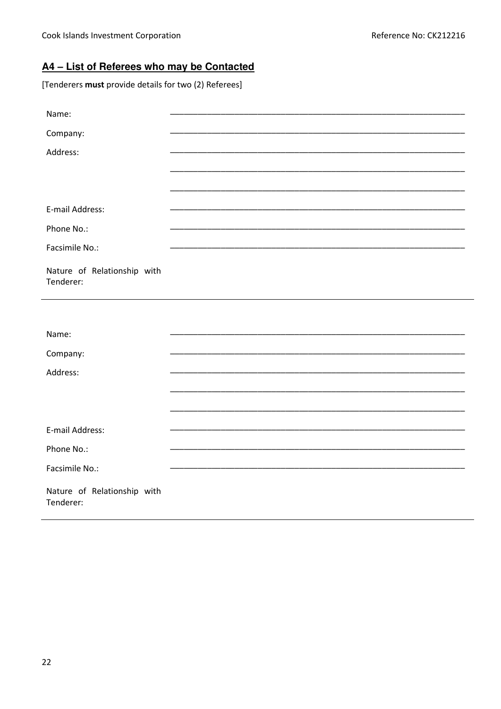# <span id="page-21-0"></span>A4 - List of Referees who may be Contacted

[Tenderers must provide details for two (2) Referees]

| Name:                                    |  |  |
|------------------------------------------|--|--|
| Company:                                 |  |  |
| Address:                                 |  |  |
|                                          |  |  |
|                                          |  |  |
| E-mail Address:                          |  |  |
| Phone No.:                               |  |  |
| Facsimile No.:                           |  |  |
| Nature of Relationship with<br>Tenderer: |  |  |
|                                          |  |  |
| Name:                                    |  |  |
| Company:                                 |  |  |
| Address:                                 |  |  |
|                                          |  |  |
|                                          |  |  |
| E-mail Address:                          |  |  |
| Phone No.:                               |  |  |
| Facsimile No.:                           |  |  |
| Nature of Relationship with<br>Tenderer: |  |  |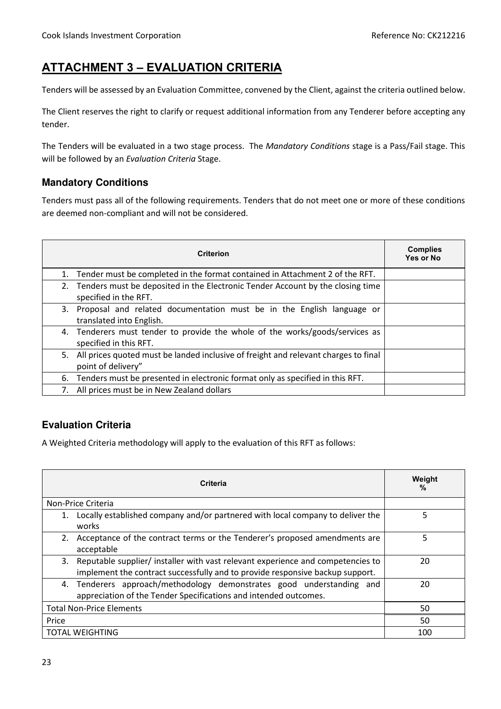# <span id="page-22-0"></span>**ATTACHMENT 3 – EVALUATION CRITERIA**

Tenders will be assessed by an Evaluation Committee, convened by the Client, against the criteria outlined below.

The Client reserves the right to clarify or request additional information from any Tenderer before accepting any tender.

The Tenders will be evaluated in a two stage process. The *Mandatory Conditions* stage is a Pass/Fail stage. This will be followed by an *Evaluation Criteria* Stage.

## <span id="page-22-1"></span>**Mandatory Conditions**

Tenders must pass all of the following requirements. Tenders that do not meet one or more of these conditions are deemed non-compliant and will not be considered.

| <b>Criterion</b>                                                                                                | <b>Complies</b><br>Yes or No |
|-----------------------------------------------------------------------------------------------------------------|------------------------------|
| Tender must be completed in the format contained in Attachment 2 of the RFT.<br>1.                              |                              |
| Tenders must be deposited in the Electronic Tender Account by the closing time<br>2.<br>specified in the RFT.   |                              |
| 3. Proposal and related documentation must be in the English language or<br>translated into English.            |                              |
| 4. Tenderers must tender to provide the whole of the works/goods/services as<br>specified in this RFT.          |                              |
| All prices quoted must be landed inclusive of freight and relevant charges to final<br>5.<br>point of delivery" |                              |
| Tenders must be presented in electronic format only as specified in this RFT.<br>6.                             |                              |
| All prices must be in New Zealand dollars<br>7.                                                                 |                              |

## <span id="page-22-2"></span>**Evaluation Criteria**

A Weighted Criteria methodology will apply to the evaluation of this RFT as follows:

| Criteria                                                                                                                                                               | Weight<br>% |
|------------------------------------------------------------------------------------------------------------------------------------------------------------------------|-------------|
| Non-Price Criteria                                                                                                                                                     |             |
| Locally established company and/or partnered with local company to deliver the<br>works                                                                                | 5           |
| Acceptance of the contract terms or the Tenderer's proposed amendments are<br>2.<br>acceptable                                                                         | 5           |
| Reputable supplier/ installer with vast relevant experience and competencies to<br>3.<br>implement the contract successfully and to provide responsive backup support. | 20          |
| 4. Tenderers approach/methodology demonstrates good understanding and<br>appreciation of the Tender Specifications and intended outcomes.                              | 20          |
| <b>Total Non-Price Elements</b>                                                                                                                                        | 50          |
| Price                                                                                                                                                                  | 50          |
| <b>TOTAL WEIGHTING</b>                                                                                                                                                 | 100         |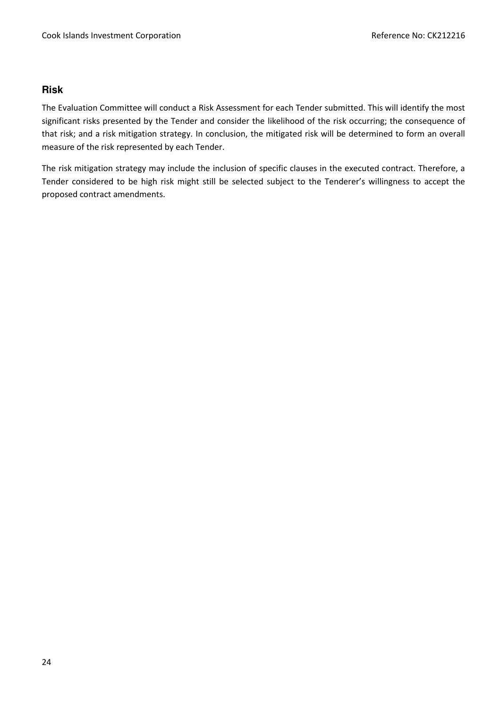#### <span id="page-23-0"></span>**Risk**

The Evaluation Committee will conduct a Risk Assessment for each Tender submitted. This will identify the most significant risks presented by the Tender and consider the likelihood of the risk occurring; the consequence of that risk; and a risk mitigation strategy. In conclusion, the mitigated risk will be determined to form an overall measure of the risk represented by each Tender.

The risk mitigation strategy may include the inclusion of specific clauses in the executed contract. Therefore, a Tender considered to be high risk might still be selected subject to the Tenderer's willingness to accept the proposed contract amendments.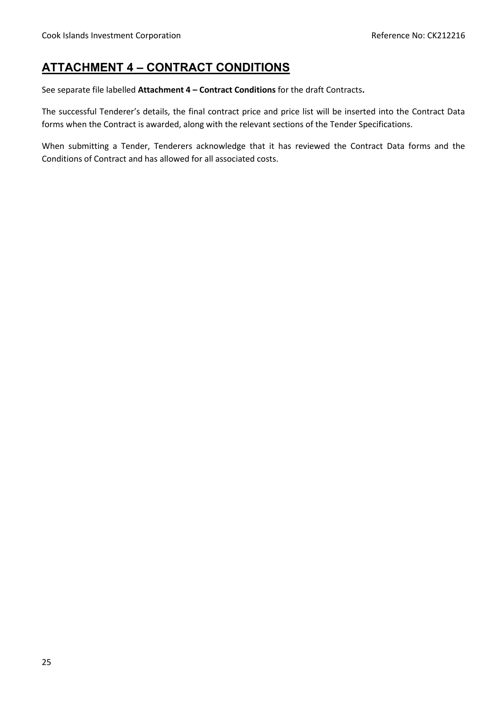# <span id="page-24-0"></span>**ATTACHMENT 4 – CONTRACT CONDITIONS**

See separate file labelled **Attachment 4 – Contract Conditions** for the draft Contracts**.**

The successful Tenderer's details, the final contract price and price list will be inserted into the Contract Data forms when the Contract is awarded, along with the relevant sections of the Tender Specifications.

When submitting a Tender, Tenderers acknowledge that it has reviewed the Contract Data forms and the Conditions of Contract and has allowed for all associated costs.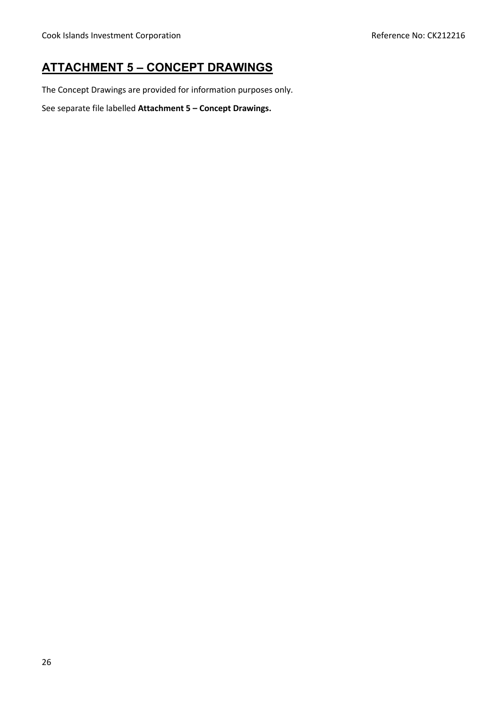# <span id="page-25-0"></span>**ATTACHMENT 5 – CONCEPT DRAWINGS**

The Concept Drawings are provided for information purposes only.

See separate file labelled **Attachment 5 – Concept Drawings.**